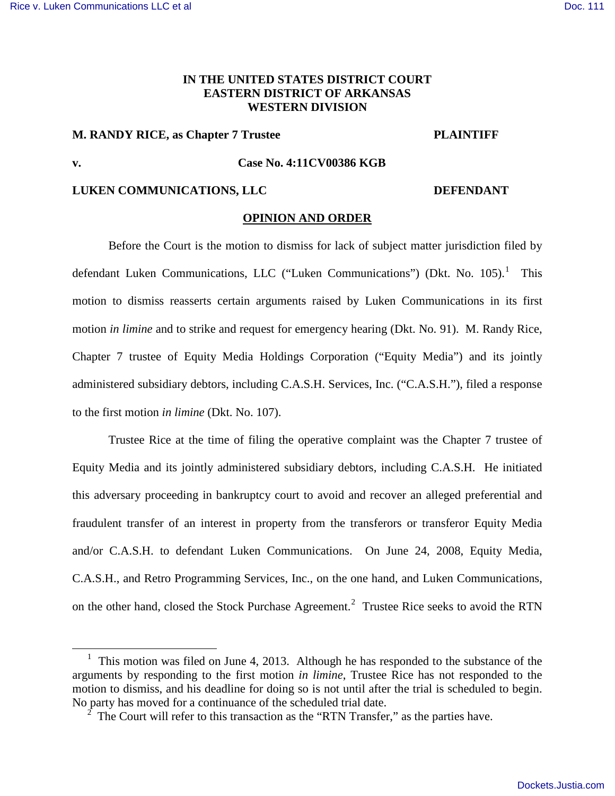## **IN THE UNITED STATES DISTRICT COURT EASTERN DISTRICT OF ARKANSAS WESTERN DIVISION**

# **M. RANDY RICE, as Chapter 7 Trustee PLAINTIFF**

l

### **v. Case No. 4:11CV00386 KGB**

## **LUKEN COMMUNICATIONS, LLC DEFENDANT**

## **OPINION AND ORDER**

Before the Court is the motion to dismiss for lack of subject matter jurisdiction filed by defendant Luken Communications, LLC ("Luken Communications") (Dkt. No. [1](#page-0-0)05).<sup>1</sup> This motion to dismiss reasserts certain arguments raised by Luken Communications in its first motion *in limine* and to strike and request for emergency hearing (Dkt. No. 91). M. Randy Rice, Chapter 7 trustee of Equity Media Holdings Corporation ("Equity Media") and its jointly administered subsidiary debtors, including C.A.S.H. Services, Inc. ("C.A.S.H."), filed a response to the first motion *in limine* (Dkt. No. 107).

Trustee Rice at the time of filing the operative complaint was the Chapter 7 trustee of Equity Media and its jointly administered subsidiary debtors, including C.A.S.H. He initiated this adversary proceeding in bankruptcy court to avoid and recover an alleged preferential and fraudulent transfer of an interest in property from the transferors or transferor Equity Media and/or C.A.S.H. to defendant Luken Communications. On June 24, 2008, Equity Media, C.A.S.H., and Retro Programming Services, Inc., on the one hand, and Luken Communications, on the other hand, closed the Stock Purchase Agreement.<sup>[2](#page-0-1)</sup> Trustee Rice seeks to avoid the RTN

<span id="page-0-0"></span><sup>&</sup>lt;sup>1</sup> This motion was filed on June 4, 2013. Although he has responded to the substance of the arguments by responding to the first motion *in limine*, Trustee Rice has not responded to the motion to dismiss, and his deadline for doing so is not until after the trial is scheduled to begin. No party has moved for a continuance of the scheduled trial date.

<span id="page-0-1"></span> $2^{\degree}$  The Court will refer to this transaction as the "RTN Transfer," as the parties have.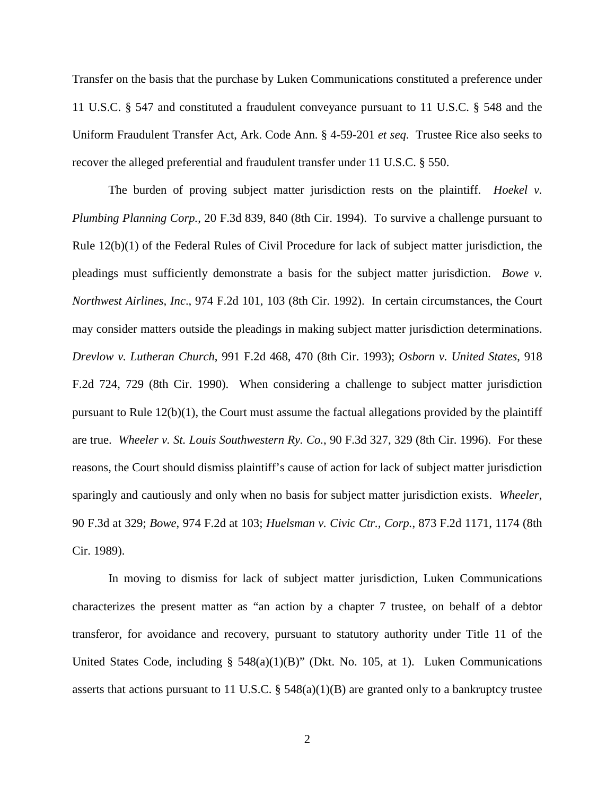Transfer on the basis that the purchase by Luken Communications constituted a preference under 11 U.S.C. § 547 and constituted a fraudulent conveyance pursuant to 11 U.S.C. § 548 and the Uniform Fraudulent Transfer Act, Ark. Code Ann. § 4-59-201 *et seq*. Trustee Rice also seeks to recover the alleged preferential and fraudulent transfer under 11 U.S.C. § 550.

The burden of proving subject matter jurisdiction rests on the plaintiff. *Hoekel v. Plumbing Planning Corp.*, 20 F.3d 839, 840 (8th Cir. 1994). To survive a challenge pursuant to Rule 12(b)(1) of the Federal Rules of Civil Procedure for lack of subject matter jurisdiction, the pleadings must sufficiently demonstrate a basis for the subject matter jurisdiction. *Bowe v. Northwest Airlines, Inc*., 974 F.2d 101, 103 (8th Cir. 1992). In certain circumstances, the Court may consider matters outside the pleadings in making subject matter jurisdiction determinations. *Drevlow v. Lutheran Church*, 991 F.2d 468, 470 (8th Cir. 1993); *Osborn v. United States*, 918 F.2d 724, 729 (8th Cir. 1990). When considering a challenge to subject matter jurisdiction pursuant to Rule 12(b)(1), the Court must assume the factual allegations provided by the plaintiff are true. *Wheeler v. St. Louis Southwestern Ry. Co.*, 90 F.3d 327, 329 (8th Cir. 1996). For these reasons, the Court should dismiss plaintiff's cause of action for lack of subject matter jurisdiction sparingly and cautiously and only when no basis for subject matter jurisdiction exists. *Wheeler*, 90 F.3d at 329; *Bowe*, 974 F.2d at 103; *Huelsman v. Civic Ctr., Corp.*, 873 F.2d 1171, 1174 (8th Cir. 1989).

In moving to dismiss for lack of subject matter jurisdiction, Luken Communications characterizes the present matter as "an action by a chapter 7 trustee, on behalf of a debtor transferor, for avoidance and recovery, pursuant to statutory authority under Title 11 of the United States Code, including § 548(a)(1)(B)" (Dkt. No. 105, at 1). Luken Communications asserts that actions pursuant to 11 U.S.C. § 548(a)(1)(B) are granted only to a bankruptcy trustee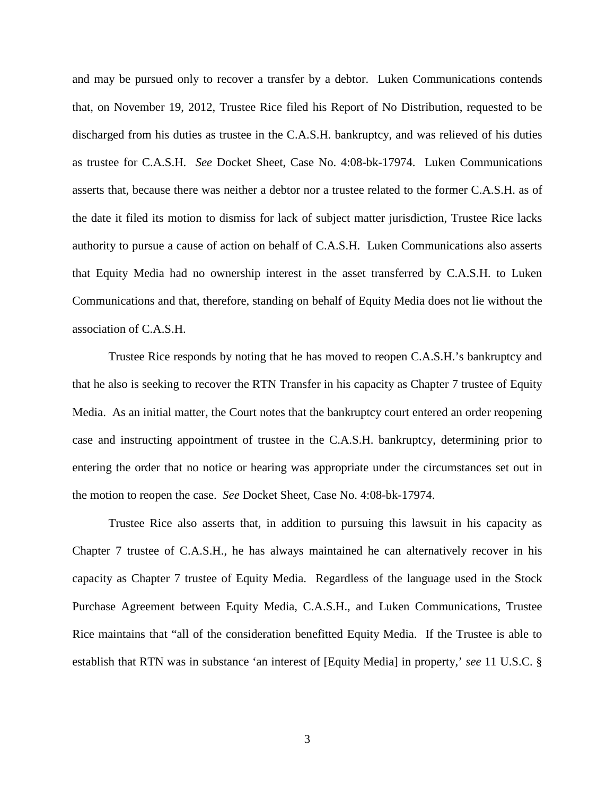and may be pursued only to recover a transfer by a debtor. Luken Communications contends that, on November 19, 2012, Trustee Rice filed his Report of No Distribution, requested to be discharged from his duties as trustee in the C.A.S.H. bankruptcy, and was relieved of his duties as trustee for C.A.S.H. *See* Docket Sheet, Case No. 4:08-bk-17974. Luken Communications asserts that, because there was neither a debtor nor a trustee related to the former C.A.S.H. as of the date it filed its motion to dismiss for lack of subject matter jurisdiction, Trustee Rice lacks authority to pursue a cause of action on behalf of C.A.S.H. Luken Communications also asserts that Equity Media had no ownership interest in the asset transferred by C.A.S.H. to Luken Communications and that, therefore, standing on behalf of Equity Media does not lie without the association of C.A.S.H.

Trustee Rice responds by noting that he has moved to reopen C.A.S.H.'s bankruptcy and that he also is seeking to recover the RTN Transfer in his capacity as Chapter 7 trustee of Equity Media. As an initial matter, the Court notes that the bankruptcy court entered an order reopening case and instructing appointment of trustee in the C.A.S.H. bankruptcy, determining prior to entering the order that no notice or hearing was appropriate under the circumstances set out in the motion to reopen the case. *See* Docket Sheet, Case No. 4:08-bk-17974.

Trustee Rice also asserts that, in addition to pursuing this lawsuit in his capacity as Chapter 7 trustee of C.A.S.H., he has always maintained he can alternatively recover in his capacity as Chapter 7 trustee of Equity Media. Regardless of the language used in the Stock Purchase Agreement between Equity Media, C.A.S.H., and Luken Communications, Trustee Rice maintains that "all of the consideration benefitted Equity Media. If the Trustee is able to establish that RTN was in substance 'an interest of [Equity Media] in property,' *see* 11 U.S.C. §